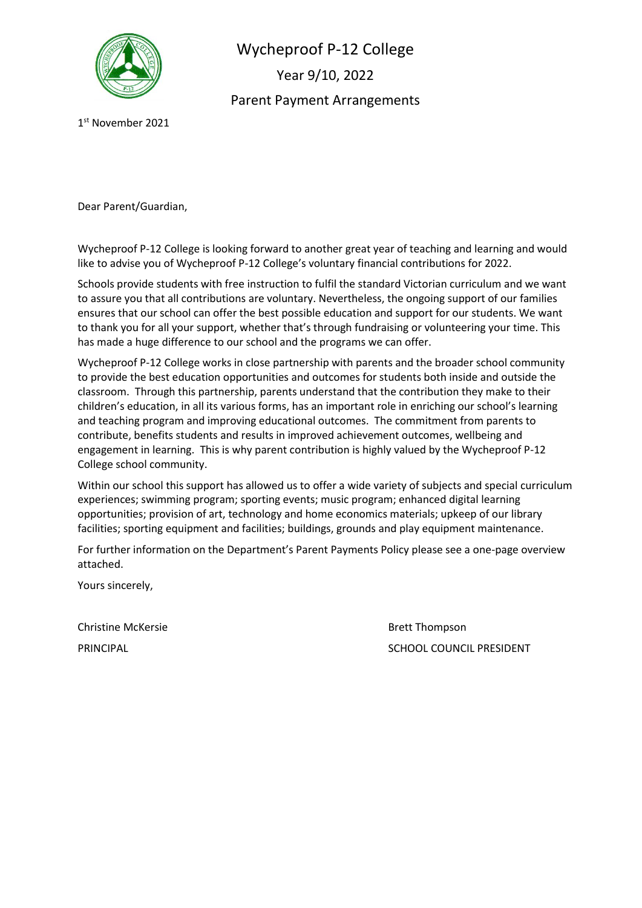

Wycheproof P-12 College Year 9/10, 2022 Parent Payment Arrangements

1 st November 2021

Dear Parent/Guardian,

Wycheproof P-12 College is looking forward to another great year of teaching and learning and would like to advise you of Wycheproof P-12 College's voluntary financial contributions for 2022.

Schools provide students with free instruction to fulfil the standard Victorian curriculum and we want to assure you that all contributions are voluntary. Nevertheless, the ongoing support of our families ensures that our school can offer the best possible education and support for our students. We want to thank you for all your support, whether that's through fundraising or volunteering your time. This has made a huge difference to our school and the programs we can offer.

Wycheproof P-12 College works in close partnership with parents and the broader school community to provide the best education opportunities and outcomes for students both inside and outside the classroom. Through this partnership, parents understand that the contribution they make to their children's education, in all its various forms, has an important role in enriching our school's learning and teaching program and improving educational outcomes. The commitment from parents to contribute, benefits students and results in improved achievement outcomes, wellbeing and engagement in learning. This is why parent contribution is highly valued by the Wycheproof P-12 College school community.

Within our school this support has allowed us to offer a wide variety of subjects and special curriculum experiences; swimming program; sporting events; music program; enhanced digital learning opportunities; provision of art, technology and home economics materials; upkeep of our library facilities; sporting equipment and facilities; buildings, grounds and play equipment maintenance.

For further information on the Department's Parent Payments Policy please see a one-page overview attached.

Yours sincerely,

Christine McKersie **Brett Thompson** 

PRINCIPAL **PRINCIPAL** SCHOOL COUNCIL PRESIDENT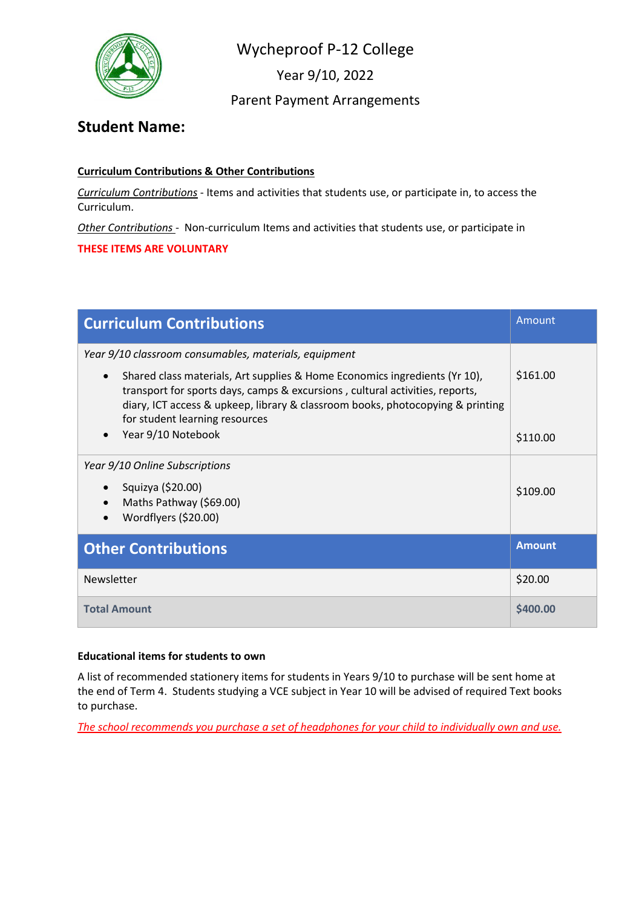

Wycheproof P-12 College

Year 9/10, 2022

## Parent Payment Arrangements

## **Student Name:**

#### **Curriculum Contributions & Other Contributions**

*Curriculum Contributions* - Items and activities that students use, or participate in, to access the Curriculum.

*Other Contributions* - Non-curriculum Items and activities that students use, or participate in

**THESE ITEMS ARE VOLUNTARY**

| <b>Curriculum Contributions</b>                                                                                                                                                                                                                                                                                                                      | Amount        |
|------------------------------------------------------------------------------------------------------------------------------------------------------------------------------------------------------------------------------------------------------------------------------------------------------------------------------------------------------|---------------|
| Year 9/10 classroom consumables, materials, equipment<br>Shared class materials, Art supplies & Home Economics ingredients (Yr 10),<br>$\bullet$<br>transport for sports days, camps & excursions, cultural activities, reports,<br>diary, ICT access & upkeep, library & classroom books, photocopying & printing<br>for student learning resources | \$161.00      |
| Year 9/10 Notebook                                                                                                                                                                                                                                                                                                                                   | \$110.00      |
| Year 9/10 Online Subscriptions<br>Squizya (\$20.00)<br>Maths Pathway (\$69.00)<br>Wordflyers (\$20.00)                                                                                                                                                                                                                                               | \$109.00      |
| <b>Other Contributions</b>                                                                                                                                                                                                                                                                                                                           | <b>Amount</b> |
| Newsletter                                                                                                                                                                                                                                                                                                                                           | \$20.00       |
| <b>Total Amount</b>                                                                                                                                                                                                                                                                                                                                  | \$400.00      |

#### **Educational items for students to own**

A list of recommended stationery items for students in Years 9/10 to purchase will be sent home at the end of Term 4. Students studying a VCE subject in Year 10 will be advised of required Text books to purchase.

*The school recommends you purchase a set of headphones for your child to individually own and use.*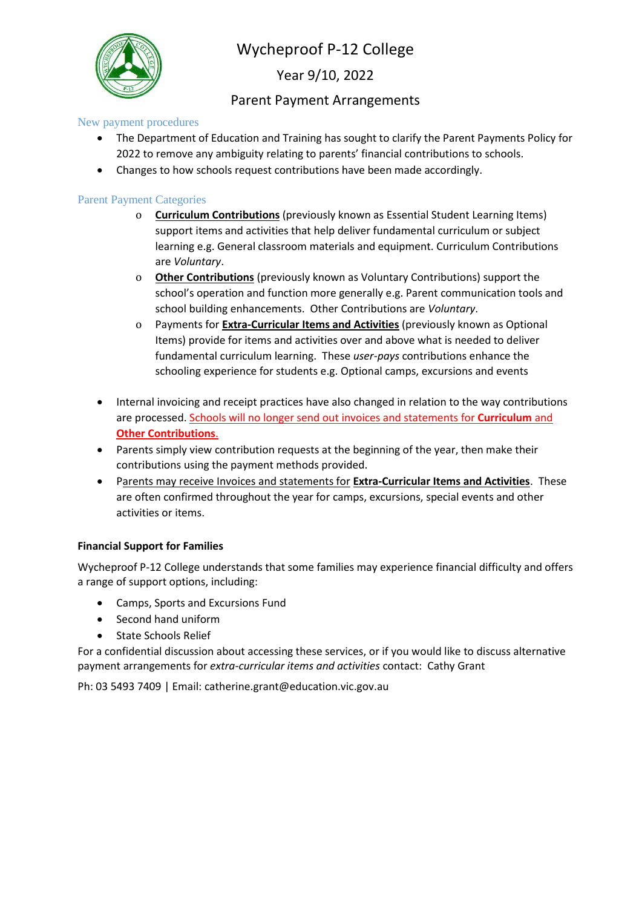

# Wycheproof P-12 College

Year 9/10, 2022

## Parent Payment Arrangements

New payment procedures

- The Department of Education and Training has sought to clarify the Parent Payments Policy for 2022 to remove any ambiguity relating to parents' financial contributions to schools.
- Changes to how schools request contributions have been made accordingly.

#### Parent Payment Categories

- o **Curriculum Contributions** (previously known as Essential Student Learning Items) support items and activities that help deliver fundamental curriculum or subject learning e.g. General classroom materials and equipment. Curriculum Contributions are *Voluntary*.
- o **Other Contributions** (previously known as Voluntary Contributions) support the school's operation and function more generally e.g. Parent communication tools and school building enhancements. Other Contributions are *Voluntary*.
- o Payments for **Extra-Curricular Items and Activities** (previously known as Optional Items) provide for items and activities over and above what is needed to deliver fundamental curriculum learning. These *user-pays* contributions enhance the schooling experience for students e.g. Optional camps, excursions and events
- Internal invoicing and receipt practices have also changed in relation to the way contributions are processed. Schools will no longer send out invoices and statements for **Curriculum** and **Other Contributions**.
- Parents simply view contribution requests at the beginning of the year, then make their contributions using the payment methods provided.
- Parents may receive Invoices and statements for **Extra-Curricular Items and Activities**. These are often confirmed throughout the year for camps, excursions, special events and other activities or items.

#### **Financial Support for Families**

Wycheproof P-12 College understands that some families may experience financial difficulty and offers a range of support options, including:

- Camps, Sports and Excursions Fund
- Second hand uniform
- State Schools Relief

For a confidential discussion about accessing these services, or if you would like to discuss alternative payment arrangements for *extra-curricular items and activities* contact: Cathy Grant

Ph: 03 5493 7409 | Email: catherine.grant@education.vic.gov.au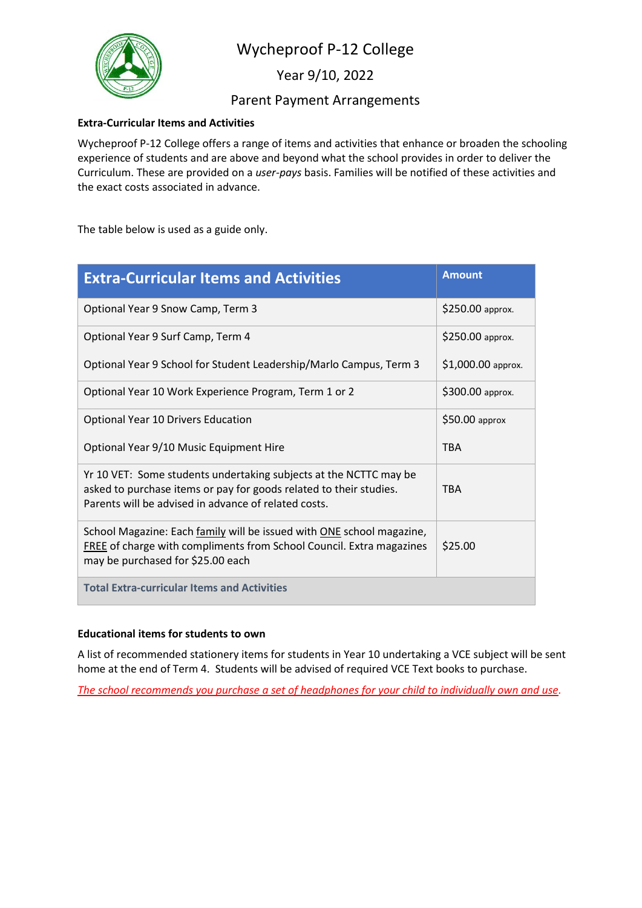

## Wycheproof P-12 College

Year 9/10, 2022

### Parent Payment Arrangements

#### **Extra-Curricular Items and Activities**

Wycheproof P-12 College offers a range of items and activities that enhance or broaden the schooling experience of students and are above and beyond what the school provides in order to deliver the Curriculum. These are provided on a *user-pays* basis. Families will be notified of these activities and the exact costs associated in advance.

The table below is used as a guide only.

| <b>Extra-Curricular Items and Activities</b>                                                                                                                                                    | <b>Amount</b>      |
|-------------------------------------------------------------------------------------------------------------------------------------------------------------------------------------------------|--------------------|
| Optional Year 9 Snow Camp, Term 3                                                                                                                                                               | \$250.00 approx.   |
| Optional Year 9 Surf Camp, Term 4                                                                                                                                                               | \$250.00 approx.   |
| Optional Year 9 School for Student Leadership/Marlo Campus, Term 3                                                                                                                              | \$1,000.00 approx. |
| Optional Year 10 Work Experience Program, Term 1 or 2                                                                                                                                           | \$300.00 approx.   |
| Optional Year 10 Drivers Education                                                                                                                                                              | $$50.00$ approx    |
| Optional Year 9/10 Music Equipment Hire                                                                                                                                                         | <b>TBA</b>         |
| Yr 10 VET: Some students undertaking subjects at the NCTTC may be<br>asked to purchase items or pay for goods related to their studies.<br>Parents will be advised in advance of related costs. | <b>TRA</b>         |
| School Magazine: Each family will be issued with ONE school magazine,<br>FREE of charge with compliments from School Council. Extra magazines<br>may be purchased for \$25.00 each              | \$25.00            |
| <b>Total Extra-curricular Items and Activities</b>                                                                                                                                              |                    |

#### **Educational items for students to own**

A list of recommended stationery items for students in Year 10 undertaking a VCE subject will be sent home at the end of Term 4. Students will be advised of required VCE Text books to purchase.

*The school recommends you purchase a set of headphones for your child to individually own and use.*